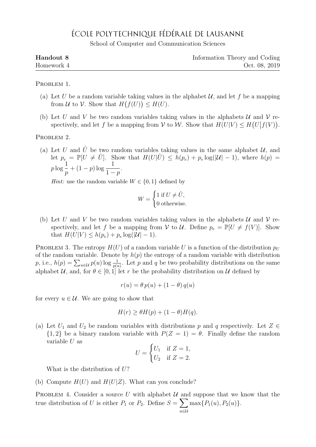## ÉCOLE POLYTECHNIQUE FÉDÉRALE DE LAUSANNE

School of Computer and Communication Sciences

| Handout 8  | Information Theory and Coding |
|------------|-------------------------------|
| Homework 4 | Oct. 08, 2019                 |

PROBLEM 1.

- (a) Let U be a random variable taking values in the alphabet  $\mathcal{U}$ , and let f be a mapping from U to V. Show that  $H(f(U)) \leq H(U)$ .
- (b) Let U and V be two random variables taking values in the alphabets U and V respectively, and let f be a mapping from  $\mathcal V$  to  $\mathcal W$ . Show that  $H(U|V) \leq H(U|f(V))$ .

PROBLEM 2.

(a) Let U and  $\hat{U}$  be two random variables taking values in the same alphabet U, and let  $p_e = \mathbb{P}[U \neq \hat{U}]$ . Show that  $H(U|\hat{U}) \leq h(p_e) + p_e \log(|\mathcal{U}| - 1)$ , where  $h(p) =$  $p \log \frac{1}{2}$ p  $+(1-p)\log\frac{1}{1-p}$  $1-p$ .

*Hint*: use the random variable  $W \in \{0, 1\}$  defined by

$$
W = \begin{cases} 1 \text{ if } U \neq \hat{U}, \\ 0 \text{ otherwise.} \end{cases}
$$

(b) Let U and V be two random variables taking values in the alphabets U and V respectively, and let f be a mapping from V to U. Define  $p_e = \mathbb{P}[U \neq f(V)]$ . Show that  $H(U|V) \leq h(p_e) + p_e \log(|U| - 1)$ .

PROBLEM 3. The entropy  $H(U)$  of a random variable U is a function of the distribution  $p_U$ of the random variable. Denote by  $h(p)$  the entropy of a random variable with distribution p, i.e.,  $h(p) = \sum_{u \in \mathcal{U}} p(u) \log \frac{1}{p(u)}$ . Let p and q be two probability distributions on the same alphabet U, and, for  $\theta \in [0, 1]$  let r be the probability distribution on U defined by

$$
r(u) = \theta \, p(u) + (1 - \theta) \, q(u)
$$

for every  $u \in \mathcal{U}$ . We are going to show that

$$
H(r) \ge \theta H(p) + (1 - \theta)H(q).
$$

(a) Let  $U_1$  and  $U_2$  be random variables with distributions p and q respectively. Let  $Z \in$  ${1, 2}$  be a binary random variable with  $P(Z = 1) = \theta$ . Finally define the random variable U as

$$
U = \begin{cases} U_1 & \text{if } Z = 1, \\ U_2 & \text{if } Z = 2. \end{cases}
$$

What is the distribution of  $U$ ?

(b) Compute  $H(U)$  and  $H(U|Z)$ . What can you conclude?

PROBLEM 4. Consider a source U with alphabet U and suppose that we know that the true distribution of U is either  $P_1$  or  $P_2$ . Define  $S = \sum$ u∈U  $\max\{P_1(u), P_2(u)\}.$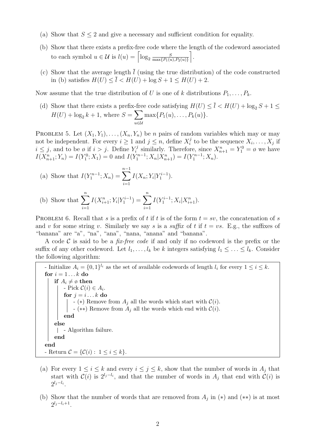- (a) Show that  $S \leq 2$  and give a necessary and sufficient condition for equality.
- (b) Show that there exists a prefix-free code where the length of the codeword associated to each symbol  $u \in \mathcal{U}$  is  $l(u) = \lceil \log_2 \frac{S}{\max\{P_1(u)\}}\rceil$  $\max\{P_1(u), P_2(u)\}$ m .
- (c) Show that the average length  $\overline{l}$  (using the true distribution) of the code constructed in (b) satisfies  $H(U) \leq \bar{l} \leq H(U) + \log S + 1 \leq H(U) + 2$ .

Now assume that the true distribution of U is one of k distributions  $P_1, \ldots, P_k$ .

(d) Show that there exists a prefix-free code satisfying  $H(U) \leq \overline{l} < H(U) + \log_2 S + 1 \leq$  $H(U) + \log_2 k + 1$ , where  $S = \sum$ u∈U  $\max\{P_1(u), \ldots, P_k(u)\}.$ 

PROBLEM 5. Let  $(X_1, Y_1), \ldots, (X_n, Y_n)$  be *n* pairs of random variables which may or may not be independent. For every  $i \geq 1$  and  $j \leq n$ , define  $X_i^j$  $i_i^j$  to be the sequence  $X_i, \ldots, X_j$  if  $i \leq j$ , and to be ø if  $i > j$ . Define  $Y_i^j$  $X_{n+1}^j = Y_1^0 = \emptyset$  we have  $I(X_{n+1}^n; Y_n) = I(Y_1^0; X_1) = 0$  and  $I(Y_1^{n-1}; X_n | X_{n+1}^n) = I(Y_1^{n-1}; X_n)$ .

(a) Show that 
$$
I(Y_1^{n-1}; X_n) = \sum_{i=1}^{n-1} I(X_n; Y_i | Y_1^{i-1}).
$$

(b) Show that 
$$
\sum_{i=1}^{n} I(X_{i+1}^{n}; Y_i | Y_1^{i-1}) = \sum_{i=1}^{n} I(Y_1^{i-1}; X_i | X_{i+1}^{n}).
$$

PROBLEM 6. Recall that s is a prefix of t if t is of the form  $t = sv$ , the concatenation of s and v for some string v. Similarly we say s is a suffix of t if  $t = vs.$  E.g., the suffixes of "banana" are "a", "na", "ana", "nana, "anana" and "banana".

A code  $\mathcal C$  is said to be a *fix-free code* if and only if no codeword is the prefix or the suffix of any other codeword. Let  $l_1, \ldots, l_k$  be k integers satisfying  $l_1 \leq \ldots \leq l_k$ . Consider the following algorithm:

- Initialize  $A_i = \{0,1\}^{l_i}$  as the set of available codewords of length  $l_i$  for every  $1 \leq i \leq k$ . for  $i = 1...k$  do if  $A_i \neq \emptyset$  then - Pick  $C(i) \in A_i$ . for  $j = i \dots k$  do - (\*) Remove from  $A_j$  all the words which start with  $\mathcal{C}(i)$ . - (\*\*) Remove from  $A_j$  all the words which end with  $\mathcal{C}(i)$ . end else | - Algorithm failure. end end - Return  $\mathcal{C} = \{ \mathcal{C}(i) : 1 \leq i \leq k \}.$ 

- (a) For every  $1 \leq i \leq k$  and every  $i \leq j \leq k$ , show that the number of words in  $A_j$  that start with  $\mathcal{C}(i)$  is  $2^{l_j-l_i}$ , and that the number of words in  $A_j$  that end with  $\mathcal{C}(i)$  is  $2^{l_j-l_i}$ .
- (b) Show that the number of words that are removed from  $A_j$  in (\*) and (\*\*) is at most  $2^{l_j-l_i+1}$ .